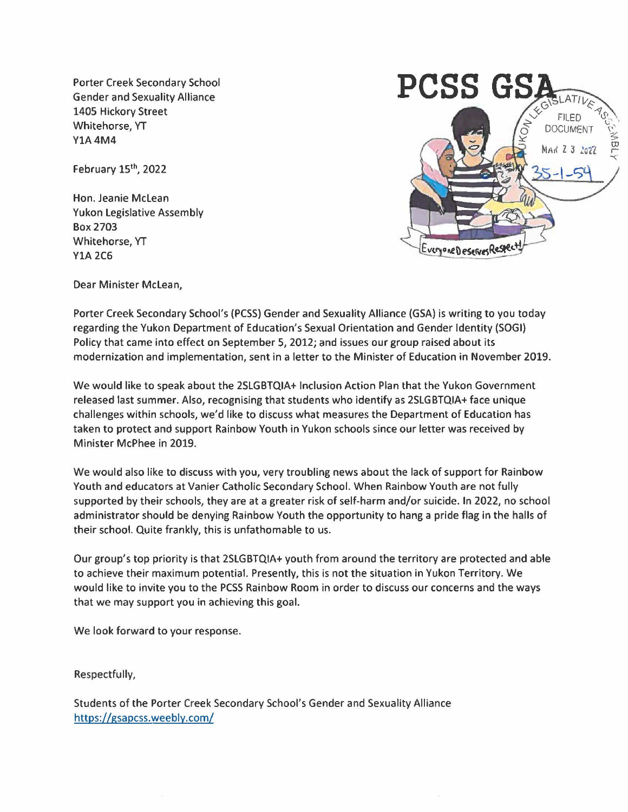Porter Creek Secondary School Gender and Sexuality Alliance 1405 Hickory Street Whitehorse, YT **Y1A4M4** 

February 15<sup>th</sup>, 2022

Hon. Jeanie Mclean Yukon Legislative Assembly Box 2703 Whitehorse, YT Y1A 2C6



Dear Minister Mclean,

Porter Creek Secondary School's (PCSS) Gender and Sexuality Alliance (GSA) is writing to you today regarding the Yukon Department of Education's Sexual Orientation and Gender Identity {SOGI) Policy that came into effect on September 5, 2012; and issues our group raised about its modernization and implementation, sent in a letter to the Minister of Education in November 2019.

We would like to speak about the 2SLGBTQIA+ Inclusion Action Plan that the Yukon Government released last summer. Also, recognising that students who identify as 2SLGBTQIA+ face unique challenges within schools, we'd like to discuss what measures the Department of Education has taken to protect and support Rainbow Youth in Yukon schools since our letter was received by Minister McPhee in 2019.

We would also like to discuss with you, very troubling news about the lack of support for Rainbow Youth and educators at Vanier Catholic Secondary School. When Rainbow Youth are not fully supported by their schools, they are at a greater risk of self-harm and/or suicide. In 2022, no school administrator should be denying Rainbow Youth the opportunity to hang a pride flag in the halls of their school. Quite frankly, this is unfathomable to us.

Our group's top priority is that 2SLGBTQIA+ youth from around the territory are protected and able to achieve their maximum potential. Presently, this is not the situation in Yukon Territory. We would like to invite you to the PCSS Rainbow Room in order to discuss our concerns and the ways that we may support you in achieving this goal.

We look forward to your response.

Respectfully,

Students of the Porter Creek Secondary School's Gender and Sexuality Alliance https://gsapcss.weebly.com/